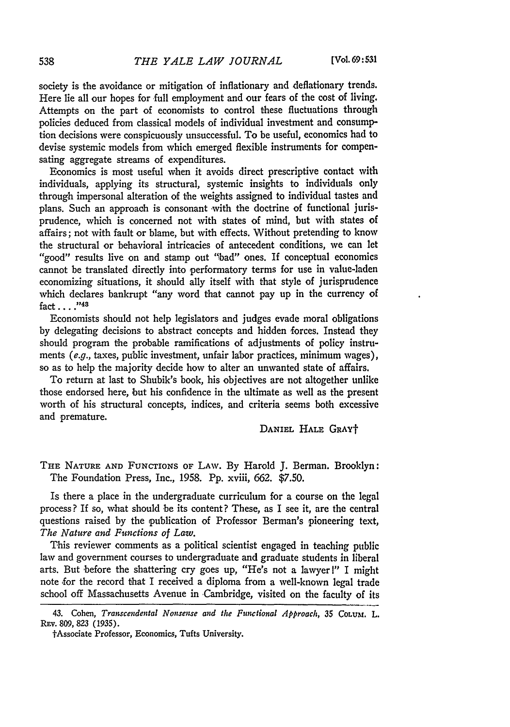society is the avoidance or mitigation of inflationary and deflationary trends. Here lie all our hopes for full employment and our fears of the cost of living. Attempts on the part of economists to control these fluctuations through policies deduced from classical models of individual investment and consumption decisions were conspicuously unsuccessful. To be useful, economics had to devise systemic models from which emerged flexible instruments for compensating aggregate streams of expenditures.

Economics is most useful when it avoids direct prescriptive contact with individuals, applying its structural, systemic insights to individuals only through impersonal alteration of the weights assigned to individual tastes and plans. Such an approach is consonant with the doctrine of functional jurisprudence, which is concerned not with states of mind, but with states **of** affairs; not with fault or blame, but with effects. Without pretending to know the structural or behavioral intricacies of antecedent conditions, we can let "good" results live on and stamp out "bad" ones. If conceptual economics cannot be translated directly into performatory terms for use in value-laden economizing situations, it should ally itself with that style of jurisprudence which declares bankrupt "any word that cannot pay up in the currency **of** fact . . . . "43

Economists should not help legislators and judges evade moral obligations by delegating decisions to abstract concepts and hidden forces. Instead they should program the probable ramifications of adjustments of policy instruments (e.g., taxes, public investment, unfair labor practices, minimum wages), so as to help the majority decide how to alter an unwanted state of affairs.

To return at last to Shubik's book, his objectives are not altogether unlike those endorsed here, but his confidence in the ultimate as well as the present worth of his structural concepts, indices, and criteria seems both excessive and premature.

DANIEL HALE **GRAYj**

**THE NATURE AND** FUNCTIONS OF LAW. **By** Harold **J. Berman. Brooklyn:** The Foundation Press, Inc., **1958. Pp.** xviii, 662. **\$7.50.**

Is there a place **in** the undergraduate curriculum for a course on the legal process? If so, what should be its content? These, as I see it, are the central questions raised **by** the publication of Professor Berman's pioneering text, *The Nature and Functions of Law.*

This reviewer comments as a political scientist engaged in teaching public law and government courses to undergraduate and graduate students in liberal arts. But before the shattering cry goes up, "He's not a lawyer l" I might note for the record that I received a diploma from a well-known legal trade school off Massachusetts Avenue in Cambridge, visited on the faculty of its

<sup>43.</sup> Cohen, *Transcendental Nonsense and the Functional Approach*, 35 CoLUM. L. REv. **809, 823** (1935).

tAssociate Professor, Economics, Tufts University.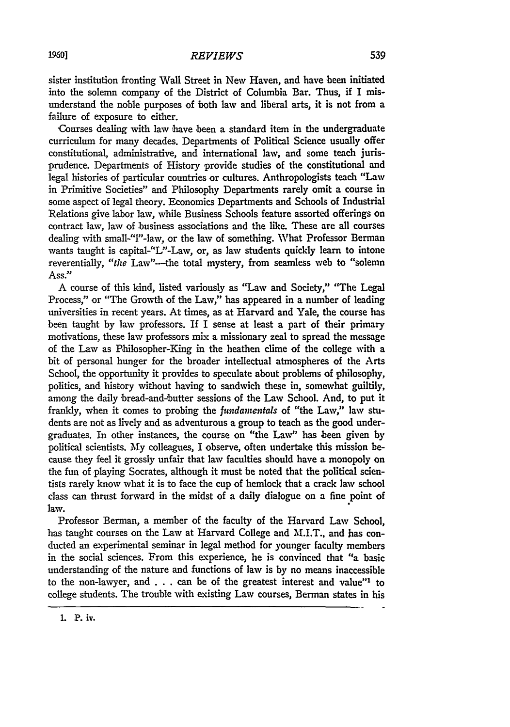sister institution fronting Wall Street in New Haven, and have been initiated into the solemn company of the District of Columbia Bar. Thus, if I misunderstand the noble purposes of both law and liberal arts, it is not from a failure of exposure to either.

Courses dealing with law have been a standard item in the undergraduate curriculum for many decades. Departments of Political Science usually offer constitutional, administrative, and international law, and some teach jurisprudence. Departments of History provide studies of the constitutional and legal histories of particular countries or cultures. Anthropologists teach "Law in Primitive Societies" and Philosophy Departments rarely omit a course in some aspect of legal theory. Economics Departments and Schools of Industrial Relations give labor law, while Business Schools feature assorted offerings on contract law, law of business associations and the like. These are all courses dealing with small-"I"-law, or the law of something. What Professor Berman wants taught is capital-"L"-Law, or, as law students quickly learn to intone reverentially, "the Law"----the total mystery, from seamless web to "solemn Ass."

A course of this kind, listed variously as "Law and Society," "The Legal Process," or "The Growth of the Law," has appeared in a number of leading universities in recent years. At times, as at Harvard and Yale, the course has been taught by law professors. If I sense at least a part of their primary motivations, these law professors mix a missionary zeal to spread the message of the Law as Philosopher-King in the heathen clime of the college with a bit of personal hunger for the broader intellectual atmospheres of the Arts School, the opportunity it provides to speculate about problems of philosophy, politics, and history without having to sandwich these in, somewhat guiltily, among the daily bread-and-butter sessions of the Law School. And, to put it frankly, when it comes to probing the *fundamentals* of "the *Law,"* law students are not as lively and as adventurous a group to teach as the good undergraduates. In other instances, the course on "the Law" has been given by political scientists. My colleagues, I observe, often undertake this mission because they feel it grossly unfair that law faculties should have a monopoly on the fun of playing Socrates, although it must be noted that the political scieatists rarely know what it is to face the cup of hemlock that a crack law school class can thrust forward in the midst of a daily dialogue on a fine point of law.

Professor Berman, a member of the faculty of the Harvard Law School, has taught courses on the Law at Harvard College and M.I.T., and has conducted an experimental seminar in legal method for younger faculty members in the social sciences. From this experience, he is convinced that "a basic understanding of the nature and functions of **law** is by no means inaccessible to the non-lawyer, and **. . .** can be of the greatest interest and value", to college students. The trouble with existing Law courses, Berman states in his

**<sup>1.</sup> P. iv.**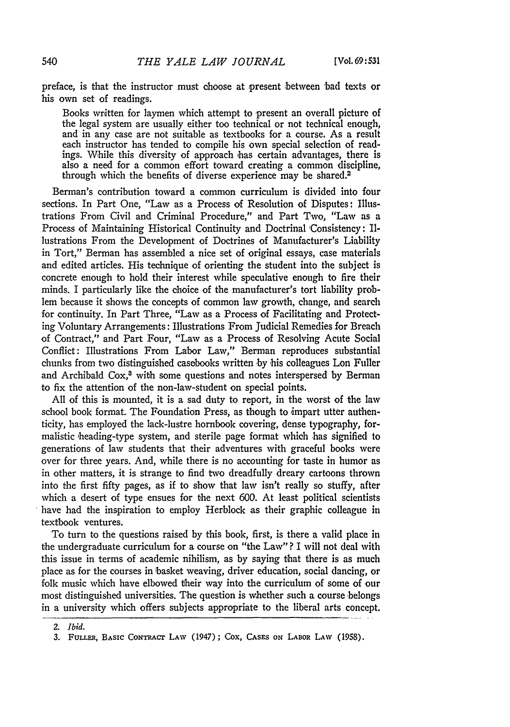preface, is that the instructor must choose at present between bad texts or his own set of readings.

Books written for laymen which attempt to present an overall picture of the legal system are usually either too technical or not technical enough, and in any case are not suitable as textbooks for a course. As a result each instructor has tended to compile his own special selection of readings. While this diversity of approach 'has certain advantages, there is also a need for a common effort toward creating a common discipline, through which the benefits of diverse experience may be shared.<sup>2</sup>

Berman's contribution toward a common curriculum is divided into four sections. In Part One, "Law as a Process of Resolution of Disputes: Illustrations From Civil and Criminal Procedure," and Part Two, "Law as a Process of Maintaining Historical Continuity and Doctrinal Consistency: Illustrations From the Development of Doctrines of Manufacturer's Liability in Tort," Berman has assembled a nice set of original essays, case materials and edited articles. His technique of orienting the student into the subject is concrete enough to hold their interest while speculative enough to fire their minds. I particularly like the choice of the manufacturer's tort liability problem because it shows the concepts of common law growth, change, and search for continuity. In Part Three, "Law as a Process of Facilitating and Protecting Voluntary Arrangements: Illustrations From Judicial Remedies for Breach of Contract," and Part Four, "Law as a Process of Resolving Acute Social Conflict: Illustrations From Labor *Law,"* Berman reproduces substantial chunks from two distinguished casebooks written by his colleagues Lon Fuller and Archibald Cox,<sup>3</sup> with some questions and notes interspersed by Berman to fix the attention of the non-law-student on special points.

All of this is mounted, it is a sad duty to report, in the worst of the law school book format. The Foundation Press, as though to impart utter authenticity, has employed the lack-lustre hornbook covering, dense typography, formalistic 'heading-type system, and sterile page format which has signified to generations of law students that their adventures with graceful books were over for three years. And, while there is no accounting for taste in humor as in other matters, it is strange to find two dreadfully dreary cartoons thrown into the first fifty pages, as if to show that law isn't really so stuffy, after which a desert of type ensues for the next 600. At least political scientists have had the inspiration to employ Herblock as their graphic colleague in textbook ventures.

To turn to the questions raised by this book, first, is there a valid place in the undergraduate curriculum for a course on "the Law"? I will not deal with this issue in terms of academic nihilism, as by saying that there is as much place as for the courses in basket weaving, driver education, social dancing, or folk music which have elbowed their way into the curriculum of some of our most distinguished universities. The question is whether such a course 'belongs in a university which offers subjects appropriate to the liberal arts concept.

*<sup>2.</sup> Ibid.*

<sup>3.</sup> *FuLL.R,* BASIC CONTRAcr LAW (1947); **Cox, CASES ON** LABOR LAW (1958).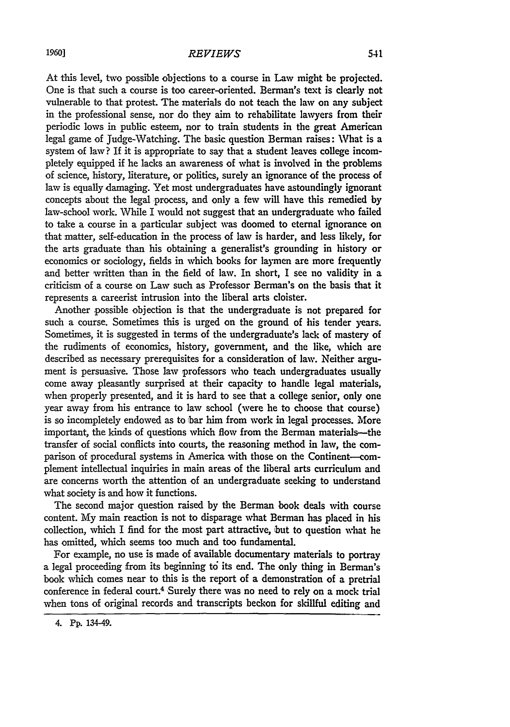## *REVIEWS*

At this level, two possible objections to a course in Law might be projected. One is that such a course is too career-oriented. Berman's text is clearly not vulnerable to that protest. The materials do not teach the law on any subject in the professional sense, nor do they aim to rehabilitate lawyers from their periodic lows in public esteem, nor to train students in the great American legal game of Judge-Watching. The basic question Berman raises: What is a system of law? If it is appropriate to say that a student leaves college incompletely equipped if he lacks an awareness of what is involved in the problems of science, history, literature, or politics, surely an ignorance of the process of law is equally damaging. Yet most undergraduates have astoundingly ignorant concepts about the legal process, and only a few will have this remedied by law-school work. While I would not suggest that an undergraduate who failed to take a course in a particular subject was doomed to eternal ignorance on that matter, self-education in the process of law is harder, and less likely, for the arts graduate than his obtaining a generalist's grounding in history or economics or sociology, fields in which books for laymen are more frequently and better written than in the field of law. In short, I see no validity in a criticism of a course on Law such as Professor Berman's on the basis that it represents a careerist intrusion into the liberal arts cloister.

Another possible objection is that the undergraduate is not prepared for such a course. Sometimes this is urged on the ground of his tender years. Sometimes, it is suggested in terms of the undergraduate's lack of mastery of the rudiments of economics, history, government, and the like, which are described as necessary prerequisites for a consideration of law. Neither argument is persuasive. Those law professors who teach undergraduates usually come away pleasantly surprised at their capacity to handle legal materials, when properly presented, and it is hard to see that a college senior, only one year away from his entrance to law school (were he to choose that course) is so incompletely endowed as to bar him from work in legal processes. More important, the kinds of questions which flow from the Berman materials-the transfer of social conflicts into courts, the reasoning method in law, the comparison of procedural systems in America with those on the Continent-complement intellectual inquiries in main areas of the liberal arts curriculum and are concerns worth the attention of an undergraduate seeking to understand what society is and how it functions.

The second major question raised by the Berman book deals with course content. **My** main reaction is not to disparage what Berman has placed in his collection, which I find for the most part attractive, but to question what he has omitted, which seems too much and too fundamental.

For example, no use is made of available documentary materials to portray a legal proceeding from its beginning *t6* its end. The only thing in Berman's book which comes near to this is the report of a demonstration of a pretrial conference in federal court.4 Surely there was no need to rely on a mock trial when tons of original records and transcripts beckon for skillful editing and

<sup>4.</sup> Pp. 134-49.